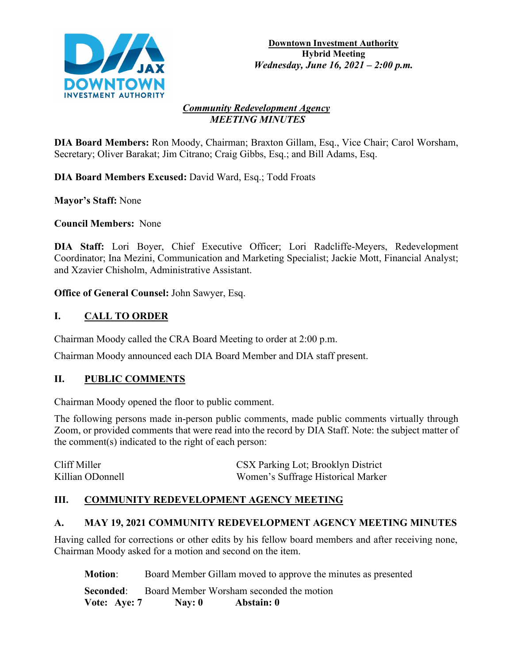

### *Community Redevelopment Agency MEETING MINUTES*

**DIA Board Members:** Ron Moody, Chairman; Braxton Gillam, Esq., Vice Chair; Carol Worsham, Secretary; Oliver Barakat; Jim Citrano; Craig Gibbs, Esq.; and Bill Adams, Esq.

**DIA Board Members Excused:** David Ward, Esq.; Todd Froats

**Mayor's Staff:** None

**Council Members:** None

**DIA Staff:** Lori Boyer, Chief Executive Officer; Lori Radcliffe-Meyers, Redevelopment Coordinator; Ina Mezini, Communication and Marketing Specialist; Jackie Mott, Financial Analyst; and Xzavier Chisholm, Administrative Assistant.

**Office of General Counsel:** John Sawyer, Esq.

# **I. CALL TO ORDER**

Chairman Moody called the CRA Board Meeting to order at 2:00 p.m.

Chairman Moody announced each DIA Board Member and DIA staff present.

# **II. PUBLIC COMMENTS**

Chairman Moody opened the floor to public comment.

The following persons made in-person public comments, made public comments virtually through Zoom, or provided comments that were read into the record by DIA Staff. Note: the subject matter of the comment(s) indicated to the right of each person:

| Cliff Miller     | CSX Parking Lot; Brooklyn District |
|------------------|------------------------------------|
| Killian ODonnell | Women's Suffrage Historical Marker |

# **III. COMMUNITY REDEVELOPMENT AGENCY MEETING**

# **A. MAY 19, 2021 COMMUNITY REDEVELOPMENT AGENCY MEETING MINUTES**

Having called for corrections or other edits by his fellow board members and after receiving none, Chairman Moody asked for a motion and second on the item.

**Motion**: Board Member Gillam moved to approve the minutes as presented

**Seconded:** Board Member Worsham seconded the motion **Vote: Aye: 7 Nay: 0 Abstain: 0**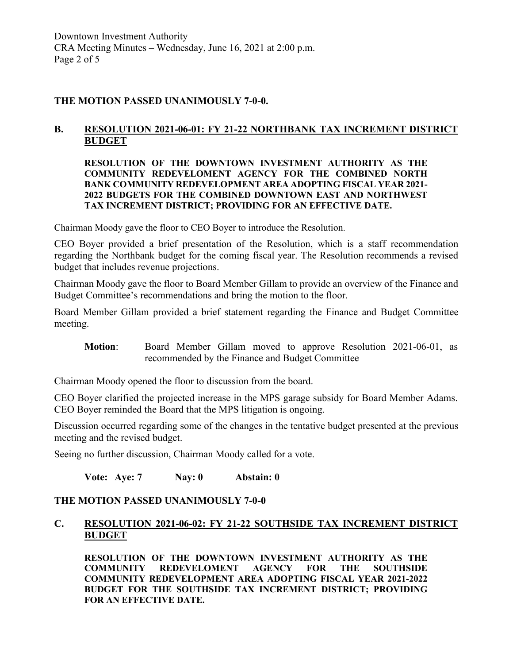# **THE MOTION PASSED UNANIMOUSLY 7-0-0.**

# **B. RESOLUTION 2021-06-01: FY 21-22 NORTHBANK TAX INCREMENT DISTRICT BUDGET**

#### **RESOLUTION OF THE DOWNTOWN INVESTMENT AUTHORITY AS THE COMMUNITY REDEVELOMENT AGENCY FOR THE COMBINED NORTH BANK COMMUNITY REDEVELOPMENT AREA ADOPTING FISCAL YEAR 2021- 2022 BUDGETS FOR THE COMBINED DOWNTOWN EAST AND NORTHWEST TAX INCREMENT DISTRICT; PROVIDING FOR AN EFFECTIVE DATE.**

Chairman Moody gave the floor to CEO Boyer to introduce the Resolution.

CEO Boyer provided a brief presentation of the Resolution, which is a staff recommendation regarding the Northbank budget for the coming fiscal year. The Resolution recommends a revised budget that includes revenue projections.

Chairman Moody gave the floor to Board Member Gillam to provide an overview of the Finance and Budget Committee's recommendations and bring the motion to the floor.

Board Member Gillam provided a brief statement regarding the Finance and Budget Committee meeting.

**Motion**: Board Member Gillam moved to approve Resolution 2021-06-01, as recommended by the Finance and Budget Committee

Chairman Moody opened the floor to discussion from the board.

CEO Boyer clarified the projected increase in the MPS garage subsidy for Board Member Adams. CEO Boyer reminded the Board that the MPS litigation is ongoing.

Discussion occurred regarding some of the changes in the tentative budget presented at the previous meeting and the revised budget.

Seeing no further discussion, Chairman Moody called for a vote.

**Vote: Aye: 7 Nay: 0 Abstain: 0**

### **THE MOTION PASSED UNANIMOUSLY 7-0-0**

# **C. RESOLUTION 2021-06-02: FY 21-22 SOUTHSIDE TAX INCREMENT DISTRICT BUDGET**

**RESOLUTION OF THE DOWNTOWN INVESTMENT AUTHORITY AS THE COMMUNITY REDEVELOMENT AGENCY FOR THE SOUTHSIDE COMMUNITY REDEVELOPMENT AREA ADOPTING FISCAL YEAR 2021-2022 BUDGET FOR THE SOUTHSIDE TAX INCREMENT DISTRICT; PROVIDING FOR AN EFFECTIVE DATE.**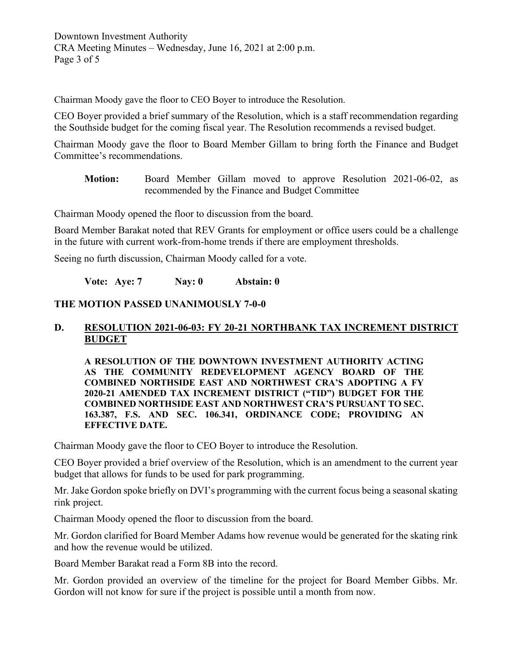Chairman Moody gave the floor to CEO Boyer to introduce the Resolution.

CEO Boyer provided a brief summary of the Resolution, which is a staff recommendation regarding the Southside budget for the coming fiscal year. The Resolution recommends a revised budget.

Chairman Moody gave the floor to Board Member Gillam to bring forth the Finance and Budget Committee's recommendations.

**Motion:** Board Member Gillam moved to approve Resolution 2021-06-02, as recommended by the Finance and Budget Committee

Chairman Moody opened the floor to discussion from the board.

Board Member Barakat noted that REV Grants for employment or office users could be a challenge in the future with current work-from-home trends if there are employment thresholds.

Seeing no furth discussion, Chairman Moody called for a vote.

**Vote: Aye: 7 Nay: 0 Abstain: 0**

### **THE MOTION PASSED UNANIMOUSLY 7-0-0**

## **D. RESOLUTION 2021-06-03: FY 20-21 NORTHBANK TAX INCREMENT DISTRICT BUDGET**

**A RESOLUTION OF THE DOWNTOWN INVESTMENT AUTHORITY ACTING AS THE COMMUNITY REDEVELOPMENT AGENCY BOARD OF THE COMBINED NORTHSIDE EAST AND NORTHWEST CRA'S ADOPTING A FY 2020-21 AMENDED TAX INCREMENT DISTRICT ("TID") BUDGET FOR THE COMBINED NORTHSIDE EAST AND NORTHWEST CRA'S PURSUANT TO SEC. 163.387, F.S. AND SEC. 106.341, ORDINANCE CODE; PROVIDING AN EFFECTIVE DATE.**

Chairman Moody gave the floor to CEO Boyer to introduce the Resolution.

CEO Boyer provided a brief overview of the Resolution, which is an amendment to the current year budget that allows for funds to be used for park programming.

Mr. Jake Gordon spoke briefly on DVI's programming with the current focus being a seasonal skating rink project.

Chairman Moody opened the floor to discussion from the board.

Mr. Gordon clarified for Board Member Adams how revenue would be generated for the skating rink and how the revenue would be utilized.

Board Member Barakat read a Form 8B into the record.

Mr. Gordon provided an overview of the timeline for the project for Board Member Gibbs. Mr. Gordon will not know for sure if the project is possible until a month from now.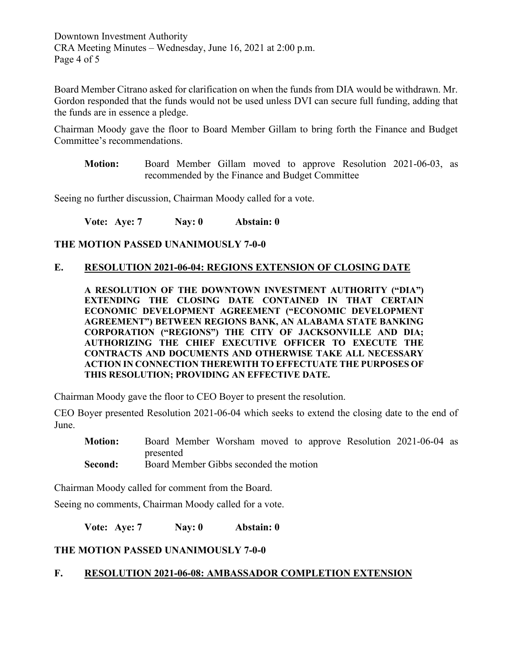Board Member Citrano asked for clarification on when the funds from DIA would be withdrawn. Mr. Gordon responded that the funds would not be used unless DVI can secure full funding, adding that the funds are in essence a pledge.

Chairman Moody gave the floor to Board Member Gillam to bring forth the Finance and Budget Committee's recommendations.

**Motion:** Board Member Gillam moved to approve Resolution 2021-06-03, as recommended by the Finance and Budget Committee

Seeing no further discussion, Chairman Moody called for a vote.

**Vote: Aye: 7 Nay: 0 Abstain: 0**

### **THE MOTION PASSED UNANIMOUSLY 7-0-0**

#### **E. RESOLUTION 2021-06-04: REGIONS EXTENSION OF CLOSING DATE**

**A RESOLUTION OF THE DOWNTOWN INVESTMENT AUTHORITY ("DIA") EXTENDING THE CLOSING DATE CONTAINED IN THAT CERTAIN ECONOMIC DEVELOPMENT AGREEMENT ("ECONOMIC DEVELOPMENT AGREEMENT") BETWEEN REGIONS BANK, AN ALABAMA STATE BANKING CORPORATION ("REGIONS") THE CITY OF JACKSONVILLE AND DIA; AUTHORIZING THE CHIEF EXECUTIVE OFFICER TO EXECUTE THE CONTRACTS AND DOCUMENTS AND OTHERWISE TAKE ALL NECESSARY ACTION IN CONNECTION THEREWITH TO EFFECTUATE THE PURPOSES OF THIS RESOLUTION; PROVIDING AN EFFECTIVE DATE.**

Chairman Moody gave the floor to CEO Boyer to present the resolution.

CEO Boyer presented Resolution 2021-06-04 which seeks to extend the closing date to the end of June.

**Motion:** Board Member Worsham moved to approve Resolution 2021-06-04 as presented

**Second:** Board Member Gibbs seconded the motion

Chairman Moody called for comment from the Board.

Seeing no comments, Chairman Moody called for a vote.

**Vote: Aye: 7 Nay: 0 Abstain: 0**

### **THE MOTION PASSED UNANIMOUSLY 7-0-0**

### **F. RESOLUTION 2021-06-08: AMBASSADOR COMPLETION EXTENSION**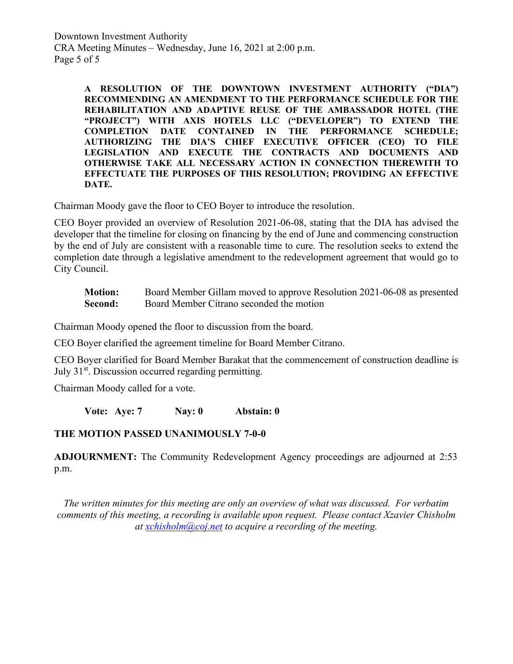Downtown Investment Authority CRA Meeting Minutes – Wednesday, June 16, 2021 at 2:00 p.m. Page 5 of 5

> **A RESOLUTION OF THE DOWNTOWN INVESTMENT AUTHORITY ("DIA") RECOMMENDING AN AMENDMENT TO THE PERFORMANCE SCHEDULE FOR THE REHABILITATION AND ADAPTIVE REUSE OF THE AMBASSADOR HOTEL (THE "PROJECT") WITH AXIS HOTELS LLC ("DEVELOPER") TO EXTEND THE COMPLETION DATE CONTAINED IN THE PERFORMANCE SCHEDULE; AUTHORIZING THE DIA'S CHIEF EXECUTIVE OFFICER (CEO) TO FILE LEGISLATION AND EXECUTE THE CONTRACTS AND DOCUMENTS AND OTHERWISE TAKE ALL NECESSARY ACTION IN CONNECTION THEREWITH TO EFFECTUATE THE PURPOSES OF THIS RESOLUTION; PROVIDING AN EFFECTIVE DATE.**

Chairman Moody gave the floor to CEO Boyer to introduce the resolution.

CEO Boyer provided an overview of Resolution 2021-06-08, stating that the DIA has advised the developer that the timeline for closing on financing by the end of June and commencing construction by the end of July are consistent with a reasonable time to cure. The resolution seeks to extend the completion date through a legislative amendment to the redevelopment agreement that would go to City Council.

**Motion:** Board Member Gillam moved to approve Resolution 2021-06-08 as presented **Second:** Board Member Citrano seconded the motion

Chairman Moody opened the floor to discussion from the board.

CEO Boyer clarified the agreement timeline for Board Member Citrano.

CEO Boyer clarified for Board Member Barakat that the commencement of construction deadline is July  $31<sup>st</sup>$ . Discussion occurred regarding permitting.

Chairman Moody called for a vote.

**Vote: Aye: 7 Nay: 0 Abstain: 0**

### **THE MOTION PASSED UNANIMOUSLY 7-0-0**

**ADJOURNMENT:** The Community Redevelopment Agency proceedings are adjourned at 2:53 p.m.

*The written minutes for this meeting are only an overview of what was discussed. For verbatim comments of this meeting, a recording is available upon request. Please contact Xzavier Chisholm at [xchisholm@coj.net](mailto:xchisholm@coj.net) to acquire a recording of the meeting.*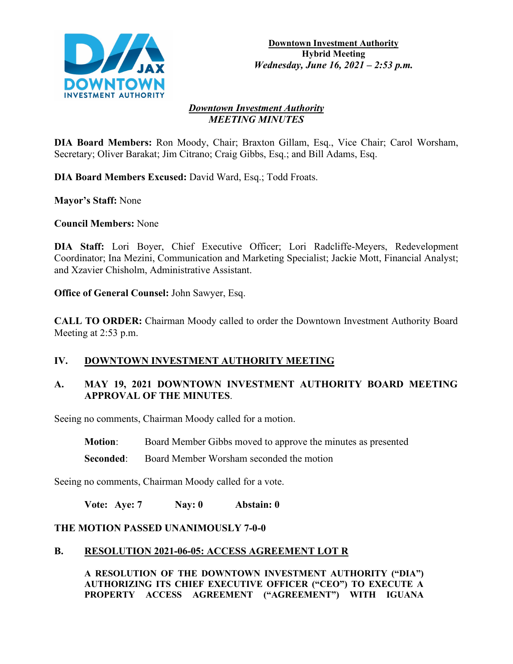

#### *Downtown Investment Authority MEETING MINUTES*

**DIA Board Members:** Ron Moody, Chair; Braxton Gillam, Esq., Vice Chair; Carol Worsham, Secretary; Oliver Barakat; Jim Citrano; Craig Gibbs, Esq.; and Bill Adams, Esq.

**DIA Board Members Excused:** David Ward, Esq.; Todd Froats.

**Mayor's Staff:** None

**Council Members:** None

**DIA Staff:** Lori Boyer, Chief Executive Officer; Lori Radcliffe-Meyers, Redevelopment Coordinator; Ina Mezini, Communication and Marketing Specialist; Jackie Mott, Financial Analyst; and Xzavier Chisholm, Administrative Assistant.

**Office of General Counsel:** John Sawyer, Esq.

**CALL TO ORDER:** Chairman Moody called to order the Downtown Investment Authority Board Meeting at 2:53 p.m.

# **IV. DOWNTOWN INVESTMENT AUTHORITY MEETING**

# **A. MAY 19, 2021 DOWNTOWN INVESTMENT AUTHORITY BOARD MEETING APPROVAL OF THE MINUTES**.

Seeing no comments, Chairman Moody called for a motion.

**Motion**: Board Member Gibbs moved to approve the minutes as presented

**Seconded**: Board Member Worsham seconded the motion

Seeing no comments, Chairman Moody called for a vote.

**Vote: Aye: 7 Nay: 0 Abstain: 0**

# **THE MOTION PASSED UNANIMOUSLY 7-0-0**

### **B. RESOLUTION 2021-06-05: ACCESS AGREEMENT LOT R**

**A RESOLUTION OF THE DOWNTOWN INVESTMENT AUTHORITY ("DIA") AUTHORIZING ITS CHIEF EXECUTIVE OFFICER ("CEO") TO EXECUTE A PROPERTY ACCESS AGREEMENT ("AGREEMENT") WITH IGUANA**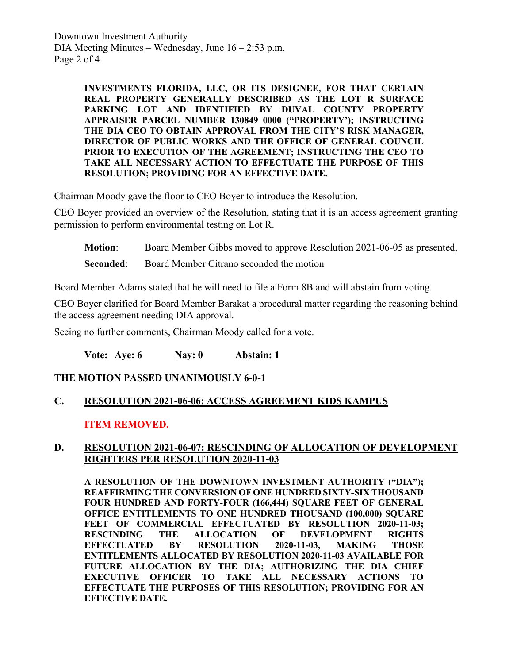Downtown Investment Authority DIA Meeting Minutes – Wednesday, June  $16 - 2:53$  p.m. Page 2 of 4

> **INVESTMENTS FLORIDA, LLC, OR ITS DESIGNEE, FOR THAT CERTAIN REAL PROPERTY GENERALLY DESCRIBED AS THE LOT R SURFACE PARKING LOT AND IDENTIFIED BY DUVAL COUNTY PROPERTY APPRAISER PARCEL NUMBER 130849 0000 ("PROPERTY'); INSTRUCTING THE DIA CEO TO OBTAIN APPROVAL FROM THE CITY'S RISK MANAGER, DIRECTOR OF PUBLIC WORKS AND THE OFFICE OF GENERAL COUNCIL PRIOR TO EXECUTION OF THE AGREEMENT; INSTRUCTING THE CEO TO TAKE ALL NECESSARY ACTION TO EFFECTUATE THE PURPOSE OF THIS RESOLUTION; PROVIDING FOR AN EFFECTIVE DATE.**

Chairman Moody gave the floor to CEO Boyer to introduce the Resolution.

CEO Boyer provided an overview of the Resolution, stating that it is an access agreement granting permission to perform environmental testing on Lot R.

**Motion**: Board Member Gibbs moved to approve Resolution 2021-06-05 as presented,

**Seconded:** Board Member Citrano seconded the motion

Board Member Adams stated that he will need to file a Form 8B and will abstain from voting.

CEO Boyer clarified for Board Member Barakat a procedural matter regarding the reasoning behind the access agreement needing DIA approval.

Seeing no further comments, Chairman Moody called for a vote.

**Vote: Aye: 6 Nay: 0 Abstain: 1**

### **THE MOTION PASSED UNANIMOUSLY 6-0-1**

### **C. RESOLUTION 2021-06-06: ACCESS AGREEMENT KIDS KAMPUS**

#### **ITEM REMOVED.**

### **D. RESOLUTION 2021-06-07: RESCINDING OF ALLOCATION OF DEVELOPMENT RIGHTERS PER RESOLUTION 2020-11-03**

**A RESOLUTION OF THE DOWNTOWN INVESTMENT AUTHORITY ("DIA"); REAFFIRMING THE CONVERSION OF ONE HUNDRED SIXTY-SIX THOUSAND FOUR HUNDRED AND FORTY-FOUR (166,444) SQUARE FEET OF GENERAL OFFICE ENTITLEMENTS TO ONE HUNDRED THOUSAND (100,000) SQUARE FEET OF COMMERCIAL EFFECTUATED BY RESOLUTION 2020-11-03; RESCINDING THE ALLOCATION OF DEVELOPMENT RIGHTS EFFECTUATED BY RESOLUTION 2020-11-03, MAKING THOSE ENTITLEMENTS ALLOCATED BY RESOLUTION 2020-11-03 AVAILABLE FOR FUTURE ALLOCATION BY THE DIA; AUTHORIZING THE DIA CHIEF EXECUTIVE OFFICER TO TAKE ALL NECESSARY ACTIONS TO EFFECTUATE THE PURPOSES OF THIS RESOLUTION; PROVIDING FOR AN EFFECTIVE DATE.**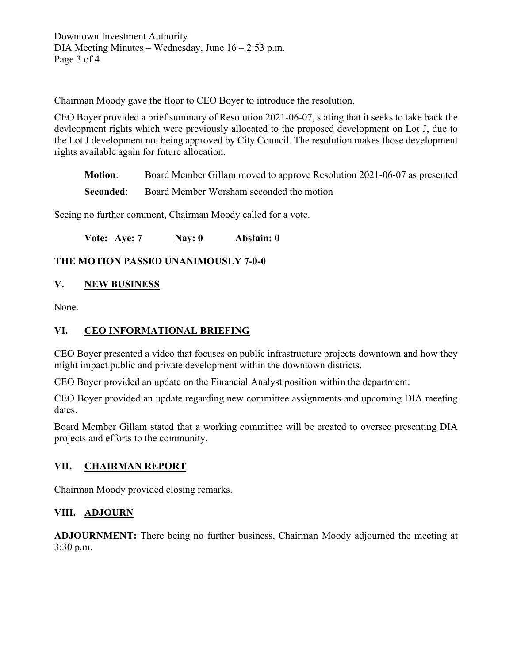Downtown Investment Authority DIA Meeting Minutes – Wednesday, June  $16 - 2:53$  p.m. Page 3 of 4

Chairman Moody gave the floor to CEO Boyer to introduce the resolution.

CEO Boyer provided a brief summary of Resolution 2021-06-07, stating that it seeks to take back the devleopment rights which were previously allocated to the proposed development on Lot J, due to the Lot J development not being approved by City Council. The resolution makes those development rights available again for future allocation.

**Motion**: Board Member Gillam moved to approve Resolution 2021-06-07 as presented **Seconded:** Board Member Worsham seconded the motion

Seeing no further comment, Chairman Moody called for a vote.

**Vote: Aye: 7 Nay: 0 Abstain: 0**

# **THE MOTION PASSED UNANIMOUSLY 7-0-0**

# **V. NEW BUSINESS**

None.

# **VI. CEO INFORMATIONAL BRIEFING**

CEO Boyer presented a video that focuses on public infrastructure projects downtown and how they might impact public and private development within the downtown districts.

CEO Boyer provided an update on the Financial Analyst position within the department.

CEO Boyer provided an update regarding new committee assignments and upcoming DIA meeting dates.

Board Member Gillam stated that a working committee will be created to oversee presenting DIA projects and efforts to the community.

# **VII. CHAIRMAN REPORT**

Chairman Moody provided closing remarks.

# **VIII. ADJOURN**

**ADJOURNMENT:** There being no further business, Chairman Moody adjourned the meeting at 3:30 p.m.